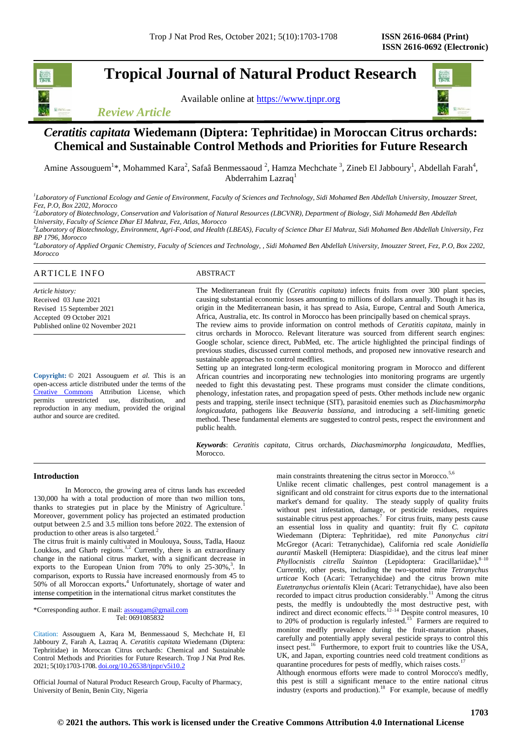# **Tropical Journal of Natural Product Research**

Available online at [https://www.tjnpr.org](https://www.tjnpr.org/)



*Review Article*

# *Ceratitis capitata* **Wiedemann (Diptera: Tephritidae) in Moroccan Citrus orchards: Chemical and Sustainable Control Methods and Priorities for Future Research**

Amine Assouguem<sup>1</sup>\*, Mohammed Kara<sup>2</sup>, Safaâ Benmessaoud <sup>2</sup>, Hamza Mechchate <sup>3</sup>, Zineb El Jabboury<sup>1</sup>, Abdellah Farah<sup>4</sup>, Abderrahim Lazraq<sup>1</sup>

*1 Laboratory of Functional Ecology and Genie of Environment, Faculty of Sciences and Technology, Sidi Mohamed Ben Abdellah University, Imouzzer Street, Fez, P.O, Box 2202, Morocco*

*2 Laboratory of Biotechnology, Conservation and Valorisation of Natural Resources (LBCVNR), Department of Biology, Sidi Mohamedd Ben Abdellah University, Faculty of Science Dhar El Mahraz, Fez, Atlas, Morocco*

*3 Laboratory of Biotechnology, Environment, Agri-Food, and Health (LBEAS), Faculty of Science Dhar El Mahraz, Sidi Mohamed Ben Abdellah University, Fez BP 1796, Morocco*

*4 Laboratory of Applied Organic Chemistry, Faculty of Sciences and Technology, , Sidi Mohamed Ben Abdellah University, Imouzzer Street, Fez, P.O, Box 2202, Morocco*

# ARTICLE INFO ABSTRACT

*Article history:* Received 03 June 2021 Revised 15 September 2021 Accepted 09 October 2021 Published online 02 November 2021

**Copyright:** © 2021 Assouguem *et al*. This is an open-access article distributed under the terms of the [Creative Commons](https://creativecommons.org/licenses/by/4.0/) Attribution License, which<br>permits unrestricted use, distribution, and unrestricted use, distribution, and reproduction in any medium, provided the original author and source are credited.

The Mediterranean fruit fly (*Ceratitis capitata*) infects fruits from over 300 plant species, causing substantial economic losses amounting to millions of dollars annually. Though it has its origin in the Mediterranean basin, it has spread to Asia, Europe, Central and South America, Africa, Australia, etc. Its control in Morocco has been principally based on chemical sprays. The review aims to provide information on control methods of *Ceratitis capitata,* mainly in

citrus orchards in Morocco. Relevant literature was sourced from different search engines: Google scholar, science direct, PubMed, etc. The article highlighted the principal findings of previous studies, discussed current control methods, and proposed new innovative research and sustainable approaches to control medflies.

Setting up an integrated long-term ecological monitoring program in Morocco and different African countries and incorporating new technologies into monitoring programs are urgently needed to fight this devastating pest. These programs must consider the climate conditions, phenology, infestation rates, and propagation speed of pests. Other methods include new organic pests and trapping, sterile insect technique (SIT), parasitoid enemies such as *Diachasmimorpha longicaudata,* pathogens like *Beauveria bassiana,* and introducing a self-limiting genetic method. These fundamental elements are suggested to control pests, respect the environment and public health.

*Keywords*: *Ceratitis capitata*, Citrus orchards, *Diachasmimorpha longicaudata,* Medflies, **Morocco** 

# **Introduction**

In Morocco, the growing area of citrus lands has exceeded 130,000 ha with a total production of more than two million tons, thanks to strategies put in place by the Ministry of Agriculture.<sup>1</sup> Moreover, government policy has projected an estimated production output between 2.5 and 3.5 million tons before 2022. The extension of production to other areas is also targeted.<sup>2</sup>

The citrus fruit is mainly cultivated in Moulouya, Souss, Tadla, Haouz Loukkos, and Gharb regions.<sup>1,2</sup> Currently, there is an extraordinary change in the national citrus market, with a significant decrease in exports to the European Union from  $70\%$  to only  $25-30\%$ ,<sup>3</sup>. In comparison, exports to Russia have increased enormously from 45 to 50% of all Moroccan exports**.** <sup>4</sup> Unfortunately, shortage of water and intense competition in the international citrus market constitutes the

\*Corresponding author. E mail[: assougam@gmail.com](mailto:assougam@gmail.com) Tel: 0691085832

Citation: Assouguem A, Kara M, Benmessaoud S, Mechchate H, El Jabboury Z, Farah A, Lazraq A. *Ceratitis capitata* Wiedemann (Diptera: Tephritidae) in Moroccan Citrus orchards: Chemical and Sustainable Control Methods and Priorities for Future Research. Trop J Nat Prod Res. 2021; 5(10):1703-1708. [doi.org/10.26538/tjnpr/v5i10.2](http://www.doi.org/10.26538/tjnpr/v1i4.5)

Official Journal of Natural Product Research Group, Faculty of Pharmacy, University of Benin, Benin City, Nigeria

main constraints threatening the citrus sector in Morocco.<sup>5,6</sup>

Unlike recent climatic challenges, pest control management is a significant and old constraint for citrus exports due to the international market's demand for quality. The steady supply of quality fruits without pest infestation, damage, or pesticide residues, requires sustainable citrus pest approaches.<sup>7</sup> For citrus fruits, many pests cause an essential loss in quality and quantity: fruit fly *C. capitata* Wiedemann (Diptera: Tephritidae), red mite *Panonychus citri* McGregor (Acari: Tetranychidae), California red scale *Aonidiella aurantii* Maskell (Hemiptera: Diaspididae), and the citrus leaf miner *Phyllocnistis citrella Stainton* (Lepidoptera: Gracillariidae)**.** 8–10  Currently, other pests, including the two-spotted mite *Tetranychus urticae* Koch (Acari: Tetranychidae) and the citrus brown mite *Eutetranychus orientalis* Klein (Acari: Tetranychidae), have also been recorded to impact citrus production considerably.<sup>11</sup> Among the citrus pests, the medfly is undoubtedly the most destructive pest, with indirect and direct economic effects.<sup>12–14</sup> Despite control measures, 10 to 20% of production is regularly infested.<sup>15</sup> Farmers are required to monitor medfly prevalence during the fruit-maturation phases, carefully and potentially apply several pesticide sprays to control this insect pest.<sup>16</sup> Furthermore, to export fruit to countries like the USA, UK, and Japan, exporting countries need cold treatment conditions as quarantine procedures for pests of medfly, which raises costs.

Although enormous efforts were made to control Morocco's medfly, this pest is still a significant menace to the entire national citrus industry (exports and production).<sup>18</sup> For example, because of medfly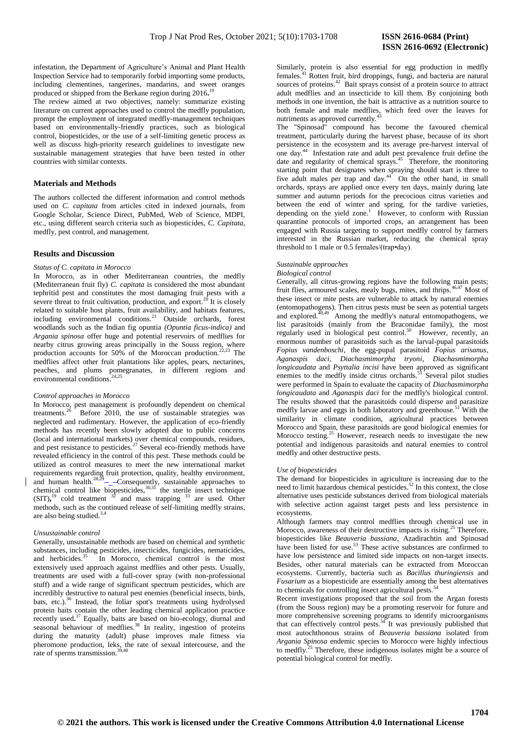infestation, the Department of Agriculture's Animal and Plant Health Inspection Service had to temporarily forbid importing some products, including clementines, tangerines, mandarins, and sweet oranges produced or shipped from the Berkane region during 2016**.** 19

The review aimed at two objectives, namely: summarize existing literature on current approaches used to control the medfly population, prompt the employment of integrated medfly-management techniques based on environmentally-friendly practices, such as biological control, biopesticides, or the use of a self-limiting genetic process as well as discuss high-priority research guidelines to investigate new sustainable management strategies that have been tested in other countries with similar contexts.

#### **Materials and Methods**

The authors collected the different information and control methods used on *C. capitata* from articles cited in indexed journals, from Google Scholar, Science Direct, PubMed, Web of Science, MDPI, etc., using different search criteria such as biopesticides, *C. Capitata,*  medfly, pest control, and management.

## **Results and Discussion**

### *Status of C. capitata in Morocco*

In Morocco, as in other Mediterranean countries, the medfly (Mediterranean fruit fly) *C. capitata* is considered the most abundant tephritid pest and constitutes the most damaging fruit pests with a severe threat to fruit cultivation, production, and  $\exp$  ort.<sup>26</sup> It is closely related to suitable host plants, fruit availability, and habitats features, including environmental conditions.<sup>21</sup> Outside orchards, forest woodlands such as the Indian fig opuntia *(Opuntia ficus-indica)* and *Argania spinosa* offer huge and potential reservoirs of medflies for nearby citrus growing areas principally in the Souss region, where production accounts for 50% of the Moroccan production.<sup>22,23</sup> The medflies affect other fruit plantations like apples, pears, nectarines, peaches, and plums pomegranates, in different regions and environmental conditions. $24,25$ 

#### *Control approaches in Morocco*

In Morocco, pest management is profoundly dependent on chemical treatments.<sup>26</sup> Before 2010, the use of sustainable strategies was neglected and rudimentary. However, the application of eco-friendly methods has recently been slowly adopted due to public concerns (local and international markets) over chemical compounds, residues, and pest resistance to pesticides.<sup>27</sup> Several eco-friendly methods have revealed efficiency in the control of this pest. These methods could be utilized as control measures to meet the new international market requirements regarding fruit protection, quality, healthy environment, and human health. $28,29$  - Consequently, sustainable approaches to chemical control like biopesticides,  $30,31$  the sterile insect technique  $(SIT)$ ,<sup>19</sup> cold treatment  $32$  and mass trapping  $33$  are used. Other methods, such as the continued release of self-limiting medfly strains, are also being studied.<sup>3,4</sup>

#### *Unsustainable control*

Generally, unsustainable methods are based on chemical and synthetic substances, including pesticides, insecticides, fungicides, nematicides, and herbicides.<sup>35</sup> In Morocco, chemical control is the most extensively used approach against medflies and other pests. Usually, treatments are used with a full-cover spray (with non-professional stuff) and a wide range of significant spectrum pesticides, which are incredibly destructive to natural pest enemies (beneficial insects, birds, bats, etc.).<sup>36</sup> Instead, the foliar spot's treatments using hydrolysed protein baits contain the other leading chemical application practice recently used.<sup>37</sup> Equally, baits are based on bio-ecology, diurnal and seasonal behaviour of medflies.<sup>38</sup> In reality, ingestion of proteins during the maturity (adult) phase improves male fitness via pheromone production, leks, the rate of sexual intercourse, and the rate of sperms transmission.

Similarly, protein is also essential for egg production in medfly females.<sup>41</sup> Rotten fruit, bird droppings, fungi, and bacteria are natural sources of proteins.<sup>42</sup> Bait sprays consist of a protein source to attract adult medflies and an insecticide to kill them. By conjoining both methods in one invention, the bait is attractive as a nutrition source to both female and male medflies, which feed over the leaves for nutriments as approved currently.<sup>4</sup>

The "Spinosad" compound has become the favoured chemical treatment, particularly during the harvest phase, because of its short persistence in the ecosystem and its average pre-harvest interval of one day.<sup>44</sup> Infestation rate and adult pest prevalence fruit define the date and regularity of chemical sprays.<sup>45</sup> Therefore, the monitoring starting point that designates when spraying should start is three to five adult males per trap and day. $44$  On the other hand, in small orchards, sprays are applied once every ten days, mainly during late summer and autumn periods for the precocious citrus varieties and between the end of winter and spring, for the tardive varieties, depending on the yield zone.<sup>1</sup> However, to conform with Russian quarantine protocols of imported crops, an arrangement has been engaged with Russia targeting to support medfly control by farmers interested in the Russian market, reducing the chemical spray threshold to 1 male or 0.5 females/(trap•day).

# *Sustainable approaches*

# *Biological control*

Generally, all citrus-growing regions have the following main pests; fruit flies, armoured scales, mealy bugs, mites, and thrips.46,47 Most of these insect or mite pests are vulnerable to attack by natural enemies (entomopathogens). Then citrus pests must be seen as potential targets and explored.<sup>48,49</sup> Among the medfly's natural entomopathogens, we list parasitoids (mainly from the Braconidae family), the most regularly used in biological pest control.<sup>50</sup> However, recently, an enormous number of parasitoids such as the larval-pupal parasitoids *Fopius vandenboschi*, the egg-pupal parasitoid *Fopius arisanus*, *Aganaspis daci*, *Diachasmimorpha tryoni*, *Diachasmimorpha longicaudata* and *Psyttalia incisi* have been approved as significant enemies to the medfly inside citrus orchards.<sup>51</sup> Several pilot studies were performed in Spain to evaluate the capacity of *Diachasmimorpha longicaudata* and *Aganaspis daci* for the medfly's biological control. The results showed that the parasitoids could disperse and parasitize medfly larvae and eggs in both laboratory and greenhouse.<sup>51</sup> With the similarity in climate condition, agricultural practices between Morocco and Spain, these parasitoids are good biological enemies for Morocco testing.<sup>25</sup> However, research needs to investigate the new potential and indigenous parasitoids and natural enemies to control medfly and other destructive pests.

#### *Use of biopesticides*

The demand for biopesticides in agriculture is increasing due to the need to limit hazardous chemical pesticides. <sup>52</sup> In this context, the close alternative uses pesticide substances derived from biological materials with selective action against target pests and less persistence in ecosystems.

Although farmers may control medflies through chemical use in Morocco, awareness of their destructive impacts is rising.<sup>25</sup> Therefore, biopesticides like *Beauveria bassiana*, Azadirachtin and Spinosad have been listed for use.<sup>53</sup> These active substances are confirmed to have low persistence and limited side impacts on non-target insects. Besides, other natural materials can be extracted from Moroccan ecosystems. Currently, bacteria such as *Bacillus thuringiensis* and *Fusarium* as a biopesticide are essentially among the best alternatives to chemicals for controlling insect agricultural pests.

Recent investigations proposed that the soil from the Argan forests (from the Souss region) may be a promoting reservoir for future and more comprehensive screening programs to identify microorganisms that can effectively control pests.<sup>54</sup> It was previously published that most autochthonous strains of *Beauveria bassiana* isolated from *Argania Spinosa* endemic species to Morocco were highly infectious to medfly.<sup>25</sup> Therefore, these indigenous isolates might be a source of potential biological control for medfly.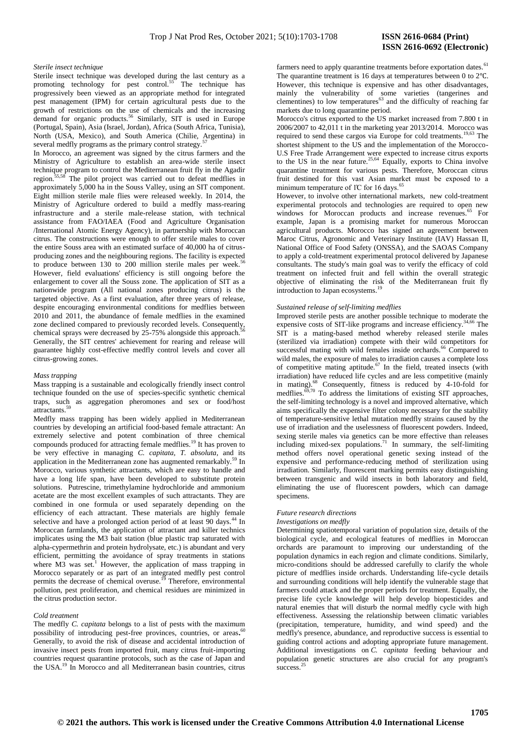#### *Sterile insect technique*

Sterile insect technique was developed during the last century as a promoting technology for pest control.<sup>55</sup> The technique has progressively been viewed as an appropriate method for integrated pest management (IPM) for certain agricultural pests due to the growth of restrictions on the use of chemicals and the increasing demand for organic products.<sup>56</sup> Similarly, SIT is used in Europe (Portugal, Spain), Asia (Israel, Jordan), Africa (South Africa, Tunisia), North (USA, Mexico), and South America (Chilie, Argentina) in several medfly programs as the primary control strategy.<sup>5</sup>

In Morocco, an agreement was signed by the citrus farmers and the Ministry of Agriculture to establish an area-wide sterile insect technique program to control the Mediterranean fruit fly in the Agadir region.<sup>55,58</sup> The pilot project was carried out to defeat medflies in approximately 5,000 ha in the Souss Valley, using an SIT component. Eight million sterile male flies were released weekly. In 2014, the Ministry of Agriculture ordered to build a medfly mass-rearing infrastructure and a sterile male-release station, with technical assistance from FAO/IAEA (Food and Agriculture Organisation /International Atomic Energy Agency), in partnership with Moroccan citrus. The constructions were enough to offer sterile males to cover the entire Souss area with an estimated surface of 40,000 ha of citrusproducing zones and the neighbouring regions. The facility is expected to produce between 130 to 200 million sterile males per week.<sup>56</sup> However, field evaluations' efficiency is still ongoing before the enlargement to cover all the Souss zone. The application of SIT as a nationwide program (All national zones producing citrus) is the targeted objective. As a first evaluation, after three years of release, despite encouraging environmental conditions for medflies between 2010 and 2011, the abundance of female medflies in the examined zone declined compared to previously recorded levels. Consequently, chemical sprays were decreased by 25-75% alongside this approach. Generally, the SIT centres' achievement for rearing and release will guarantee highly cost-effective medfly control levels and cover all citrus-growing zones.

#### *Mass trapping*

Mass trapping is a sustainable and ecologically friendly insect control technique founded on the use of species-specific synthetic chemical traps, such as aggregation pheromones and sex or food/host attractants<sup>5</sup>

Medfly mass trapping has been widely applied in Mediterranean countries by developing an artificial food-based female attractant: An extremely selective and potent combination of three chemical compounds produced for attracting female medflies.<sup>19</sup> It has proven to be very effective in managing *C. capitata, T. absoluta*, and its application in the Mediterranean zone has augmented remarkably.<sup>59</sup> In Morocco, various synthetic attractants, which are easy to handle and have a long life span, have been developed to substitute protein solutions. Putrescine, trimethylamine hydrochloride and ammonium acetate are the most excellent examples of such attractants. They are combined in one formula or used separately depending on the efficiency of each attractant. These materials are highly female selective and have a prolonged action period of at least  $90$  days.<sup>44</sup> In Moroccan farmlands, the application of attractant and killer technics implicates using the M3 bait station (blue plastic trap saturated with alpha-cypermethrin and protein hydrolysate, etc.) is abundant and very efficient, permitting the avoidance of spray treatments in stations where  $\overline{M3}$  was set.<sup>1</sup> However, the application of mass trapping in Morocco separately or as part of an integrated medfly pest control permits the decrease of chemical overuse.<sup>19</sup> Therefore, environmental pollution, pest proliferation, and chemical residues are minimized in the citrus production sector.

#### *Cold treatment*

The medfly *C. capitata* belongs to a list of pests with the maximum possibility of introducing pest-free provinces, countries, or areas**.** 60 Generally, to avoid the risk of disease and accidental introduction of invasive insect pests from imported fruit, many citrus fruit-importing countries request quarantine protocols, such as the case of Japan and the USA.<sup>19</sup> In Morocco and all Mediterranean basin countries, citrus

farmers need to apply quarantine treatments before exportation dates.<sup>61</sup> The quarantine treatment is 16 days at temperatures between 0 to 2℃. However, this technique is expensive and has other disadvantages, mainly the vulnerability of some varieties (tangerines and clementines) to low temperatures<sup>63</sup> and the difficulty of reaching far markets due to long quarantine period.

Morocco's citrus exported to the US market increased from 7.800 t in 2006/2007 to 42,011 t in the marketing year 2013/2014. Morocco was required to send these cargos via Europe for cold treatments.<sup>19,63</sup> The shortest shipment to the US and the implementation of the Morocco-U.S Free Trade Arrangement were expected to increase citrus exports to the US in the near future.<sup>25,64</sup> Equally, exports to China involve quarantine treatment for various pests. Therefore, Moroccan citrus fruit destined for this vast Asian market must be exposed to a minimum temperature of  $1^\circ$ C for 16 days.<sup>6</sup>

However, to involve other international markets, new cold-treatment experimental protocols and technologies are required to open new windows for Moroccan products and increase revenues.<sup>65</sup> For example, Japan is a promising market for numerous Moroccan agricultural products. Morocco has signed an agreement between Maroc Citrus, Agronomic and Veterinary Institute (IAV) Hassan II, National Office of Food Safety (ONSSA), and the SAOAS Company to apply a cold-treatment experimental protocol delivered by Japanese consultants. The study's main goal was to verify the efficacy of cold treatment on infected fruit and fell within the overall strategic objective of eliminating the risk of the Mediterranean fruit fly introduction to Japan ecosystems.

#### *Sustained release of self-limiting medflies*

Improved sterile pests are another possible technique to moderate the expensive costs of SIT-like programs and increase efficiency.<sup>34,66</sup> The SIT is a mating-based method whereby released sterile males (sterilized via irradiation) compete with their wild competitors for successful mating with wild females inside orchards.<sup>66</sup> Compared to wild males, the exposure of males to irradiation causes a complete loss of competitive mating aptitude. $67$  In the field, treated insects (with irradiation) have reduced life cycles and are less competitive (mainly in mating).<sup>68</sup> Consequently, fitness is reduced by 4-10-fold for medflies. $\frac{69,70}{ }$  To address the limitations of existing SIT approaches, the self-limiting technology is a novel and improved alternative, which aims specifically the expensive filter colony necessary for the stability of temperature-sensitive lethal mutation medfly strains caused by the use of irradiation and the uselessness of fluorescent powders. Indeed, sexing sterile males via genetics can be more effective than releases including mixed-sex populations.<sup>71</sup> In summary, the self-limiting method offers novel operational genetic sexing instead of the expensive and performance-reducing method of sterilization using irradiation. Similarly, fluorescent marking permits easy distinguishing between transgenic and wild insects in both laboratory and field, eliminating the use of fluorescent powders, which can damage specimens.

## *Future research directions*

#### *Investigations on medfly*

Determining spatiotemporal variation of population size, details of the biological cycle, and ecological features of medflies in Moroccan orchards are paramount to improving our understanding of the population dynamics in each region and climate conditions. Similarly, micro-conditions should be addressed carefully to clarify the whole picture of medflies inside orchards. Understanding life-cycle details and surrounding conditions will help identify the vulnerable stage that farmers could attack and the proper periods for treatment. Equally, the precise life cycle knowledge will help develop biopesticides and natural enemies that will disturb the normal medfly cycle with high effectiveness. Assessing the relationship between climatic variables (precipitation, temperature, humidity, and wind speed) and the medfly's presence, abundance, and reproductive success is essential to guiding control actions and adopting appropriate future management. Additional investigations on *C. capitata* feeding behaviour and population genetic structures are also crucial for any program's success.<sup>25</sup>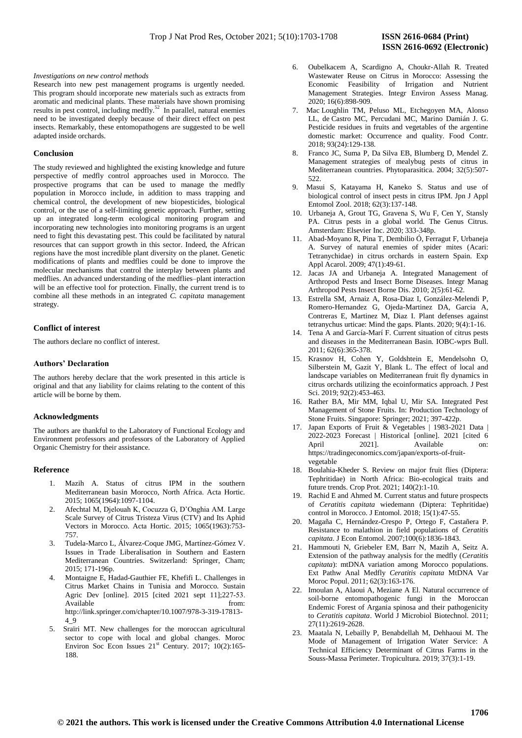#### *Investigations on new control methods*

Research into new pest management programs is urgently needed. This program should incorporate new materials such as extracts from aromatic and medicinal plants. These materials have shown promising results in pest control, including medfly.<sup>52</sup> In parallel, natural enemies need to be investigated deeply because of their direct effect on pest insects. Remarkably, these entomopathogens are suggested to be well adapted inside orchards.

#### **Conclusion**

The study reviewed and highlighted the existing knowledge and future perspective of medfly control approaches used in Morocco. The prospective programs that can be used to manage the medfly population in Morocco include, in addition to mass trapping and chemical control, the development of new biopesticides, biological control, or the use of a self-limiting genetic approach. Further, setting up an integrated long-term ecological monitoring program and incorporating new technologies into monitoring programs is an urgent need to fight this devastating pest. This could be facilitated by natural resources that can support growth in this sector. Indeed, the African regions have the most incredible plant diversity on the planet. Genetic modifications of plants and medflies could be done to improve the molecular mechanisms that control the interplay between plants and medflies. An advanced understanding of the medflies–plant interaction will be an effective tool for protection. Finally, the current trend is to combine all these methods in an integrated *C. capitata* management strategy.

# **Conflict of interest**

The authors declare no conflict of interest.

# **Authors' Declaration**

The authors hereby declare that the work presented in this article is original and that any liability for claims relating to the content of this article will be borne by them.

# **Acknowledgments**

The authors are thankful to the Laboratory of Functional Ecology and Environment professors and professors of the Laboratory of Applied Organic Chemistry for their assistance.

### **Reference**

- 1. Mazih A. Status of citrus IPM in the southern Mediterranean basin Morocco, North Africa. Acta Hortic. 2015; 1065(1964):1097-1104.
- 2. Afechtal M, Djelouah K, Cocuzza G, D'Onghia AM. Large Scale Survey of Citrus Tristeza Virus (CTV) and Its Aphid Vectors in Morocco. Acta Hortic. 2015; 1065(1963):753- 757.
- 3. Tudela-Marco L, Álvarez-Coque JMG, Martínez-Gómez V. Issues in Trade Liberalisation in Southern and Eastern Mediterranean Countries. Switzerland: Springer, Cham; 2015; 171-196p.
- 4. Montaigne E, Hadad-Gauthier FE, Khefifi L. Challenges in Citrus Market Chains in Tunisia and Morocco. Sustain Agric Dev [online]. 2015 [cited 2021 sept 11];227-53. Available from from  $\mathbf{f}$ http://link.springer.com/chapter/10.1007/978-3-319-17813- 4\_9
- 5. Sraïri MT. New challenges for the moroccan agricultural sector to cope with local and global changes. Moroc Environ Soc Econ Issues  $21<sup>st</sup>$  Century. 2017; 10(2):165-188.
- 6. Oubelkacem A, Scardigno A, Choukr-Allah R. Treated Wastewater Reuse on Citrus in Morocco: Assessing the Economic Feasibility of Irrigation and Nutrient Management Strategies. Integr Environ Assess Manag. 2020; 16(6):898-909.
- 7. Mac Loughlin TM, Peluso ML, Etchegoyen MA, Alonso LL, de Castro MC, Percudani MC, Marino Damián J. G. Pesticide residues in fruits and vegetables of the argentine domestic market: Occurrence and quality. Food Contr. 2018; 93(24):129-138.
- 8. Franco JC, Suma P, Da Silva EB, Blumberg D, Mendel Z. Management strategies of mealybug pests of citrus in Mediterranean countries. Phytoparasitica. 2004; 32(5):507- 522.
- 9. Masui S, Katayama H, Kaneko S. Status and use of biological control of insect pests in citrus IPM. Jpn J Appl Entomol Zool. 2018; 62(3):137-148.
- 10. Urbaneja A, Grout TG, Gravena S, Wu F, Cen Y, Stansly PA. Citrus pests in a global world. The Genus Citrus. Amsterdam: Elsevier Inc. 2020; 333-348p.
- 11. Abad-Moyano R, Pina T, Dembilio Ó, Ferragut F, Urbaneja A. Survey of natural enemies of spider mites (Acari: Tetranychidae) in citrus orchards in eastern Spain. Exp Appl Acarol. 2009; 47(1):49-61.
- 12. Jacas JA and Urbaneja A. Integrated Management of Arthropod Pests and Insect Borne Diseases. Integr Manag Arthropod Pests Insect Borne Dis. 2010; 2(5):61-62.
- 13. Estrella SM, Arnaiz A, Rosa-Diaz I, González-Melendi P, Romero-Hernandez G, Ojeda-Martinez DA, Garcia A, Contreras E, Martinez M, Diaz I. Plant defenses against tetranychus urticae: Mind the gaps. Plants. 2020; 9(4):1-16.
- 14. Tena A and García-Marí F. Current situation of citrus pests and diseases in the Mediterranean Basin. IOBC-wprs Bull. 2011; 62(6):365-378.
- 15. Krasnov H, Cohen Y, Goldshtein E, Mendelsohn O, Silberstein M, Gazit Y, Blank L. The effect of local and landscape variables on Mediterranean fruit fly dynamics in citrus orchards utilizing the ecoinformatics approach. J Pest Sci. 2019; 92(2):453-463.
- 16. Rather BA, Mir MM, Iqbal U, Mir SA. Integrated Pest Management of Stone Fruits. In: Production Technology of Stone Fruits. Singapore: Springer; 2021; 397-422p.
- 17. Japan Exports of Fruit & Vegetables | 1983-2021 Data | 2022-2023 Forecast | Historical [online]. 2021 [cited 6 April 2021]. Available https://tradingeconomics.com/japan/exports-of-fruitvegetable
- 18. Boulahia-Kheder S. Review on major fruit flies (Diptera: Tephritidae) in North Africa: Bio-ecological traits and future trends. Crop Prot. 2021; 140(2):1-10.
- 19. Rachid E and Ahmed M. Current status and future prospects of *Ceratitis capitata* wiedemann (Diptera: Tephritidae) control in Morocco. J Entomol. 2018; 15(1):47-55.
- 20. Magaña C, Hernández-Crespo P, Ortego F, Castañera P. Resistance to malathion in field populations of *Ceratitis capitata.* J Econ Entomol. 2007;100(6):1836-1843.
- 21. Hammouti N, Griebeler EM, Barr N, Mazih A, Seitz A. Extension of the pathway analysis for the medfly (*Ceratitis capitata*): mtDNA variation among Morocco populations. Ext Pathw Anal Medfly *Ceratitis capitata* MtDNA Var Moroc Popul. 2011; 62(3):163-176.
- 22. Imoulan A, Alaoui A, Meziane A El. Natural occurrence of soil-borne entomopathogenic fungi in the Moroccan Endemic Forest of Argania spinosa and their pathogenicity to *Ceratitis capitata*. World J Microbiol Biotechnol. 2011; 27(11):2619-2628.
- 23. Maatala N, Lebailly P, Benabdellah M, Dehhaoui M. The Mode of Management of Irrigation Water Service: A Technical Efficiency Determinant of Citrus Farms in the Souss-Massa Perimeter. Tropicultura. 2019; 37(3):1-19.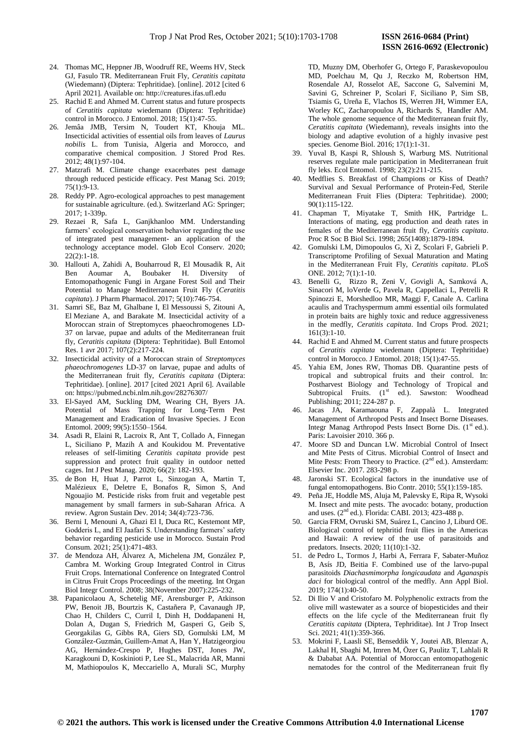- 24. Thomas MC, Heppner JB, Woodruff RE, Weems HV, Steck GJ, Fasulo TR. Mediterranean Fruit Fly, *Ceratitis capitata* (Wiedemann) (Diptera: Tephritidae). [online]. 2012 [cited 6 April 2021]. Available on: http://creatures.ifas.ufl.edu
- 25. Rachid E and Ahmed M. Current status and future prospects of *Ceratitis capitata* wiedemann (Diptera: Tephritidae) control in Morocco. J Entomol. 2018; 15(1):47-55.
- 26. Jemâa JMB, Tersim N, Toudert KT, Khouja ML. Insecticidal activities of essential oils from leaves of *Laurus nobilis* L. from Tunisia, Algeria and Morocco, and comparative chemical composition. J Stored Prod Res. 2012; 48(1):97-104.
- 27. Matzrafi M. Climate change exacerbates pest damage through reduced pesticide efficacy. Pest Manag Sci. 2019; 75(1):9-13.
- 28. Reddy PP. Agro-ecological approaches to pest management for sustainable agriculture. (ed.). Switzerland AG: Springer; 2017; 1-339p.
- 29. Rezaei R, Safa L, Ganjkhanloo MM. Understanding farmers' ecological conservation behavior regarding the use of integrated pest management- an application of the technology acceptance model. Glob Ecol Conserv. 2020; 22(2):1-18.
- 30. Hallouti A, Zahidi A, Bouharroud R, El Mousadik R, Ait Ben Aoumar A, Boubaker H. Diversity of Entomopathogenic Fungi in Argane Forest Soil and Their Potential to Manage Mediterranean Fruit Fly (*Ceratitis capitata*). J Pharm Pharmacol. 2017; 5(10):746-754.
- 31. Samri SE, Baz M, Ghalbane I, El Messoussi S, Zitouni A, El Meziane A, and Barakate M. Insecticidal activity of a Moroccan strain of Streptomyces phaeochromogenes LD-37 on larvae, pupae and adults of the Mediterranean fruit fly, *Ceratitis capitata* (Diptera: Tephritidae). Bull Entomol Res. 1 avr 2017; 107(2):217-224.
- 32. Insecticidal activity of a Moroccan strain of *Streptomyces phaeochromogenes* LD-37 on larvae, pupae and adults of the Mediterranean fruit fly, *Ceratitis capitata* (Diptera: Tephritidae). [online]. 2017 [cited 2021 April 6]. Available on: https://pubmed.ncbi.nlm.nih.gov/28276307/
- 33. El-Sayed AM, Suckling DM, Wearing CH, Byers JA. Potential of Mass Trapping for Long-Term Pest Management and Eradication of Invasive Species. J Econ Entomol. 2009; 99(5):1550–1564.
- 34. Asadi R, Elaini R, Lacroix R, Ant T, Collado A, Finnegan L, Siciliano P, Mazih A and Koukidou M. Preventative releases of self-limiting *Ceratitis capitata* provide pest suppression and protect fruit quality in outdoor netted cages. Int J Pest Manag. 2020; 66(2): 182-193.
- 35. de Bon H, Huat J, Parrot L, Sinzogan A, Martin T, Malézieux E, Deletre E, Bonafos R, Simon S, And Ngouajio M. Pesticide risks from fruit and vegetable pest management by small farmers in sub-Saharan Africa. A review. Agron Sustain Dev. 2014; 34(4):723-736.
- 36. Berni I, Menouni A, Ghazi El I, Duca RC, Kestemont MP, Godderis L, and El Jaafari S. Understanding farmers' safety behavior regarding pesticide use in Morocco. Sustain Prod Consum. 2021; 25(1):471-483.
- 37. de Mendoza AH, Álvarez A, Michelena JM, González P, Cambra M. Working Group Integrated Control in Citrus Fruit Crops. International Conference on Integrated Control in Citrus Fruit Crops Proceedings of the meeting. Int Organ Biol Integr Control. 2008; 38(November 2007):225-232.
- 38. Papanicolaou A, Schetelig MF, Arensburger P, Atkinson PW, Benoit JB, Bourtzis K, Castañera P, Cavanaugh JP, Chao H, Childers C, Curril I, Dinh H, Doddapaneni H, Dolan A, Dugan S, Friedrich M, Gasperi G, Geib S, Georgakilas G, Gibbs RA, Giers SD, Gomulski LM, M González-Guzmán, Guillem-Amat A, Han Y, Hatzigeorgiou AG, Hernández-Crespo P, Hughes DST, Jones JW, Karagkouni D, Koskinioti P, Lee SL, Malacrida AR, Manni M, Mathiopoulos K, Meccariello A, Murali SC, Murphy

TD, Muzny DM, Oberhofer G, Ortego F, Paraskevopoulou MD, Poelchau M, Qu J, Reczko M, Robertson HM, Rosendale AJ, Rosselot AE, Saccone G, Salvemini M, Savini G, Schreiner P, Scolari F, Siciliano P, Sim SB, Tsiamis G, Ureña E, Vlachos IS, Werren JH, Wimmer EA, Worley KC, Zacharopoulou A, Richards S, Handler AM. The whole genome sequence of the Mediterranean fruit fly, *Ceratitis capitata* (Wiedemann), reveals insights into the biology and adaptive evolution of a highly invasive pest species. Genome Biol. 2016; 17(1):1-31.

- 39. Yuval B, Kaspi R, Shloush S, Warburg MS. Nutritional reserves regulate male participation in Mediterranean fruit fly leks. Ecol Entomol. 1998; 23(2):211-215.
- 40. Medflies S. Breakfast of Champions or Kiss of Death? Survival and Sexual Performance of Protein-Fed, Sterile Mediterranean Fruit Flies (Diptera: Tephritidae). 2000; 90(1):115-122.
- 41. Chapman T, Miyatake T, Smith HK, Partridge L. Interactions of mating, egg production and death rates in females of the Mediterranean fruit fly, *Ceratitis capitata*. Proc R Soc B Biol Sci. 1998; 265(1408):1879-1894.
- 42. Gomulski LM, Dimopoulos G, Xi Z, Scolari F, Gabrieli P. Transcriptome Profiling of Sexual Maturation and Mating in the Mediterranean Fruit Fly, *Ceratitis capitata*. PLoS ONE. 2012; 7(1):1-10.
- 43. Benelli G, Rizzo R, Zeni V, Govigli A, Samková A, Sinacori M, loVerde G, Pavela R, Cappellaci L, Petrelli R Spinozzi E, Morshedloo MR, Maggi F, Canale A. Carlina acaulis and Trachyspermum ammi essential oils formulated in protein baits are highly toxic and reduce aggressiveness in the medfly, *Ceratitis capitata*. Ind Crops Prod. 2021;  $161(3):1-10.$
- 44. Rachid E and Ahmed M. Current status and future prospects of *Ceratitis capitata* wiedemann (Diptera: Tephritidae) control in Morocco. J Entomol. 2018; 15(1):47-55.
- 45. Yahia EM, Jones RW, Thomas DB. Quarantine pests of tropical and subtropical fruits and their control. In: Postharvest Biology and Technology of Tropical and Subtropical Fruits.  $(1<sup>st</sup> ed.)$ . Sawston: Woodhead Publishing; 2011; 224-287 p.
- 46. Jacas JA, Karamaouna F, Zappalà L. Integrated Management of Arthropod Pests and Insect Borne Diseases. Integr Manag Arthropod Pests Insect Borne Dis.  $(1<sup>st</sup> ed.)$ . Paris: Lavoisier 2010. 366 p.
- 47. Moore SD and Duncan LW. Microbial Control of Insect and Mite Pests of Citrus. Microbial Control of Insect and Mite Pests: From Theory to Practice.  $(2^{nd}$  ed.). Amsterdam: Elsevier Inc. 2017. 283-298 p.
- 48. Jaronski ST. Ecological factors in the inundative use of fungal entomopathogens. Bio Contr. 2010; 55(1):159-185.
- 49. Peña JE, Hoddle MS, Aluja M, Palevsky E, Ripa R, Wysoki M. Insect and mite pests. The avocado: botany, production and uses.  $(2<sup>nd</sup>$  ed.). Florida: CABI. 2013; 423-488 p.
- 50. Garcia FRM, Ovruski SM, Suárez L, Cancino J, Liburd OE. Biological control of tephritid fruit flies in the Americas and Hawaii: A review of the use of parasitoids and predators. Insects. 2020; 11(10):1-32.
- 51. de Pedro L, Tormos J, Harbi A, Ferrara F, Sabater-Muñoz B, Asís JD, Beitia F. Combined use of the larvo-pupal parasitoids *Diachasmimorpha longicaudata* and *Aganaspis daci* for biological control of the medfly. Ann Appl Biol. 2019; 174(1):40-50.
- 52. Di Ilio V and Cristofaro M. Polyphenolic extracts from the olive mill wastewater as a source of biopesticides and their effects on the life cycle of the Mediterranean fruit fly *Ceratitis capitata* (Diptera, Tephriditae). Int J Trop Insect Sci. 2021; 41(1):359-366.
- 53. Mokrini F, Laasli SE, Benseddik Y, Joutei AB, Blenzar A, Lakhal H, Sbaghi M, Imren M, Özer G, Paulitz T, Lahlali R & Dababat AA. Potential of Moroccan entomopathogenic nematodes for the control of the Mediterranean fruit fly